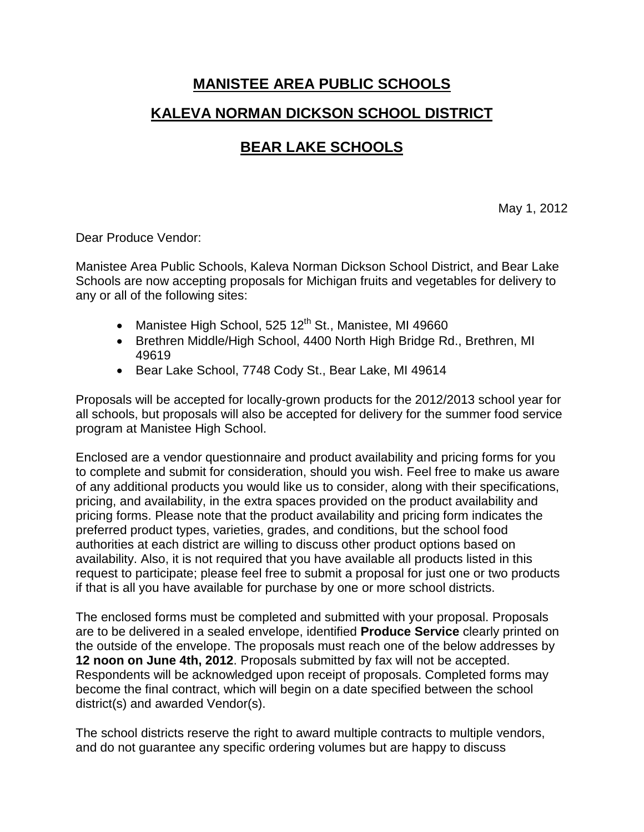## **MANISTEE AREA PUBLIC SCHOOLS KALEVA NORMAN DICKSON SCHOOL DISTRICT**

## **BEAR LAKE SCHOOLS**

May 1, 2012

Dear Produce Vendor:

Manistee Area Public Schools, Kaleva Norman Dickson School District, and Bear Lake Schools are now accepting proposals for Michigan fruits and vegetables for delivery to any or all of the following sites:

- Manistee High School, 525  $12<sup>th</sup>$  St., Manistee, MI 49660
- Brethren Middle/High School, 4400 North High Bridge Rd., Brethren, MI 49619
- Bear Lake School, 7748 Cody St., Bear Lake, MI 49614

Proposals will be accepted for locally-grown products for the 2012/2013 school year for all schools, but proposals will also be accepted for delivery for the summer food service program at Manistee High School.

Enclosed are a vendor questionnaire and product availability and pricing forms for you to complete and submit for consideration, should you wish. Feel free to make us aware of any additional products you would like us to consider, along with their specifications, pricing, and availability, in the extra spaces provided on the product availability and pricing forms. Please note that the product availability and pricing form indicates the preferred product types, varieties, grades, and conditions, but the school food authorities at each district are willing to discuss other product options based on availability. Also, it is not required that you have available all products listed in this request to participate; please feel free to submit a proposal for just one or two products if that is all you have available for purchase by one or more school districts.

The enclosed forms must be completed and submitted with your proposal. Proposals are to be delivered in a sealed envelope, identified **Produce Service** clearly printed on the outside of the envelope. The proposals must reach one of the below addresses by **12 noon on June 4th, 2012**. Proposals submitted by fax will not be accepted. Respondents will be acknowledged upon receipt of proposals. Completed forms may become the final contract, which will begin on a date specified between the school district(s) and awarded Vendor(s).

The school districts reserve the right to award multiple contracts to multiple vendors, and do not guarantee any specific ordering volumes but are happy to discuss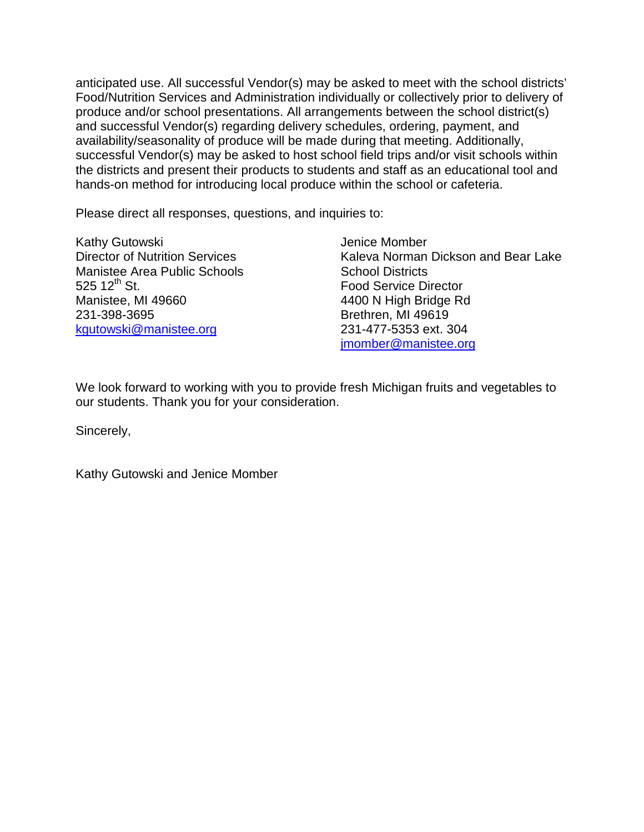anticipated use. All successful Vendor(s) may be asked to meet with the school districts' Food/Nutrition Services and Administration individually or collectively prior to delivery of produce and/or school presentations. All arrangements between the school district(s) and successful Vendor(s) regarding delivery schedules, ordering, payment, and availability/seasonality of produce will be made during that meeting. Additionally, successful Vendor(s) may be asked to host school field trips and/or visit schools within the districts and present their products to students and staff as an educational tool and hands-on method for introducing local produce within the school or cafeteria.

Please direct all responses, questions, and inquiries to:

Kathy Gutowski **Vertain Comber** Jenice Momber Manistee Area Public Schools<br>
525 12<sup>th</sup> St. School Districts<br>
Food Service Di Manistee, MI 49660 4400 N High Bridge Rd 231-398-3695 Brethren, MI 49619 [kgutowski@manistee.org](mailto:kgutowski@manistee.org) 231-477-5353 ext. 304

Director of Nutrition Services Kaleva Norman Dickson and Bear Lake **Food Service Director** [jmomber@manistee.org](mailto:jmomber@manistee.org)

We look forward to working with you to provide fresh Michigan fruits and vegetables to our students. Thank you for your consideration.

Sincerely,

Kathy Gutowski and Jenice Momber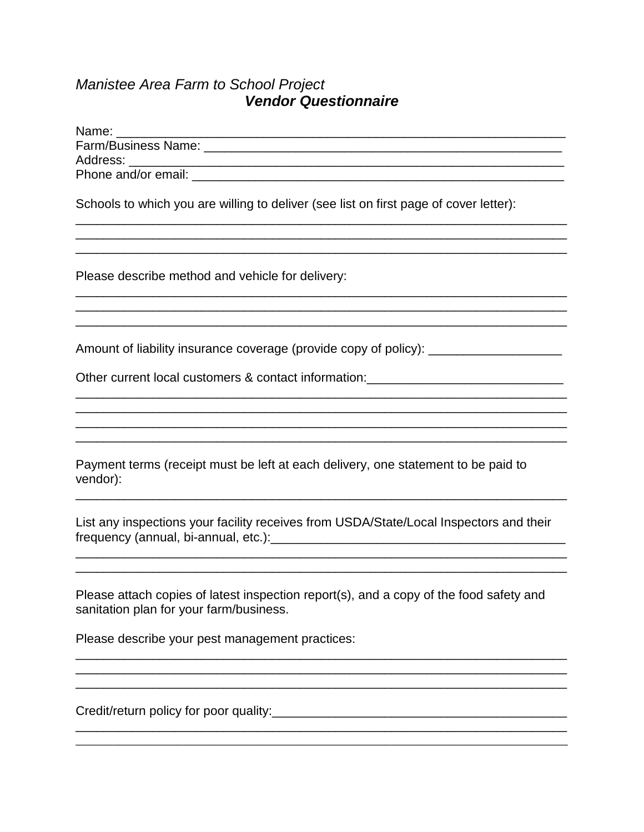## Manistee Area Farm to School Project<br>Vendor Questionnaire

| Schools to which you are willing to deliver (see list on first page of cover letter):                                                                                                                                            |
|----------------------------------------------------------------------------------------------------------------------------------------------------------------------------------------------------------------------------------|
| <u> 1989 - Johann Barn, amerikan bandar bandar bandar bandar bandar bandar bandar bandar bandar bandar bandar ba</u>                                                                                                             |
| Please describe method and vehicle for delivery:                                                                                                                                                                                 |
|                                                                                                                                                                                                                                  |
| Amount of liability insurance coverage (provide copy of policy): ________________                                                                                                                                                |
|                                                                                                                                                                                                                                  |
|                                                                                                                                                                                                                                  |
|                                                                                                                                                                                                                                  |
| Payment terms (receipt must be left at each delivery, one statement to be paid to<br>vendor):                                                                                                                                    |
| List any inspections your facility receives from USDA/State/Local Inspectors and their                                                                                                                                           |
|                                                                                                                                                                                                                                  |
|                                                                                                                                                                                                                                  |
| Please attach copies of latest inspection report(s), and a copy of the food safety and<br>sanitation plan for your farm/business.                                                                                                |
| Please describe your pest management practices:                                                                                                                                                                                  |
|                                                                                                                                                                                                                                  |
|                                                                                                                                                                                                                                  |
| Credit/return policy for poor quality:<br>Series and the contract of the contract of the contract of the contract of the contract of the contract of the contract of the contract of the contract of the contract of the contrac |
|                                                                                                                                                                                                                                  |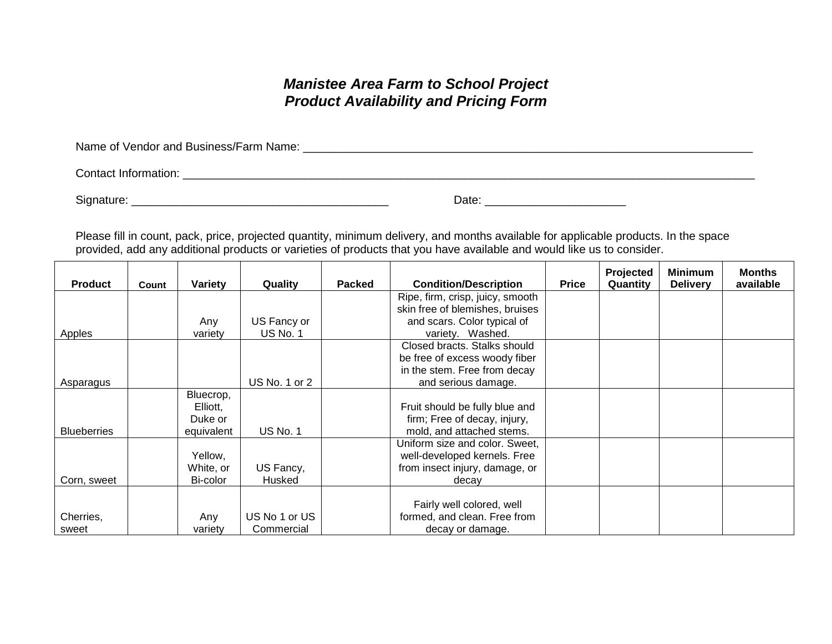## *Manistee Area Farm to School Project Product Availability and Pricing Form*

Name of Vendor and Business/Farm Name: \_\_\_\_\_\_\_\_\_\_\_\_\_\_\_\_\_\_\_\_\_\_\_\_\_\_\_\_\_\_\_\_\_\_\_\_\_\_\_\_\_\_\_\_\_\_\_\_\_\_\_\_\_\_\_\_\_\_\_\_\_\_\_\_\_\_\_\_\_\_

Contact Information: \_\_\_\_\_\_\_\_\_\_\_\_\_\_\_\_\_\_\_\_\_\_\_\_\_\_\_\_\_\_\_\_\_\_\_\_\_\_\_\_\_\_\_\_\_\_\_\_\_\_\_\_\_\_\_\_\_\_\_\_\_\_\_\_\_\_\_\_\_\_\_\_\_\_\_\_\_\_\_\_\_\_\_\_\_\_\_\_\_

Signature: \_\_\_\_\_\_\_\_\_\_\_\_\_\_\_\_\_\_\_\_\_\_\_\_\_\_\_\_\_\_\_\_\_\_\_\_\_\_\_\_ Date: \_\_\_\_\_\_\_\_\_\_\_\_\_\_\_\_\_\_\_\_\_\_

Please fill in count, pack, price, projected quantity, minimum delivery, and months available for applicable products. In the space provided, add any additional products or varieties of products that you have available and would like us to consider.

| <b>Product</b>     | Count | Variety    | Quality         | <b>Packed</b> | <b>Condition/Description</b>     | <b>Price</b> | Projected<br>Quantity | <b>Minimum</b><br><b>Delivery</b> | <b>Months</b><br>available |
|--------------------|-------|------------|-----------------|---------------|----------------------------------|--------------|-----------------------|-----------------------------------|----------------------------|
|                    |       |            |                 |               | Ripe, firm, crisp, juicy, smooth |              |                       |                                   |                            |
|                    |       |            |                 |               | skin free of blemishes, bruises  |              |                       |                                   |                            |
|                    |       | Any        | US Fancy or     |               | and scars. Color typical of      |              |                       |                                   |                            |
| Apples             |       | variety    | <b>US No. 1</b> |               | variety. Washed.                 |              |                       |                                   |                            |
|                    |       |            |                 |               | Closed bracts. Stalks should     |              |                       |                                   |                            |
|                    |       |            |                 |               | be free of excess woody fiber    |              |                       |                                   |                            |
|                    |       |            |                 |               | in the stem. Free from decay     |              |                       |                                   |                            |
| Asparagus          |       |            | US No. 1 or 2   |               | and serious damage.              |              |                       |                                   |                            |
|                    |       | Bluecrop,  |                 |               |                                  |              |                       |                                   |                            |
|                    |       | Elliott,   |                 |               | Fruit should be fully blue and   |              |                       |                                   |                            |
|                    |       | Duke or    |                 |               | firm; Free of decay, injury,     |              |                       |                                   |                            |
| <b>Blueberries</b> |       | equivalent | <b>US No. 1</b> |               | mold, and attached stems.        |              |                       |                                   |                            |
|                    |       |            |                 |               | Uniform size and color. Sweet,   |              |                       |                                   |                            |
|                    |       | Yellow,    |                 |               | well-developed kernels. Free     |              |                       |                                   |                            |
|                    |       | White, or  | US Fancy,       |               | from insect injury, damage, or   |              |                       |                                   |                            |
| Corn, sweet        |       | Bi-color   | Husked          |               | decay                            |              |                       |                                   |                            |
|                    |       |            |                 |               |                                  |              |                       |                                   |                            |
|                    |       |            |                 |               | Fairly well colored, well        |              |                       |                                   |                            |
| Cherries,          |       | Any        | US No 1 or US   |               | formed, and clean. Free from     |              |                       |                                   |                            |
| sweet              |       | variety    | Commercial      |               | decay or damage.                 |              |                       |                                   |                            |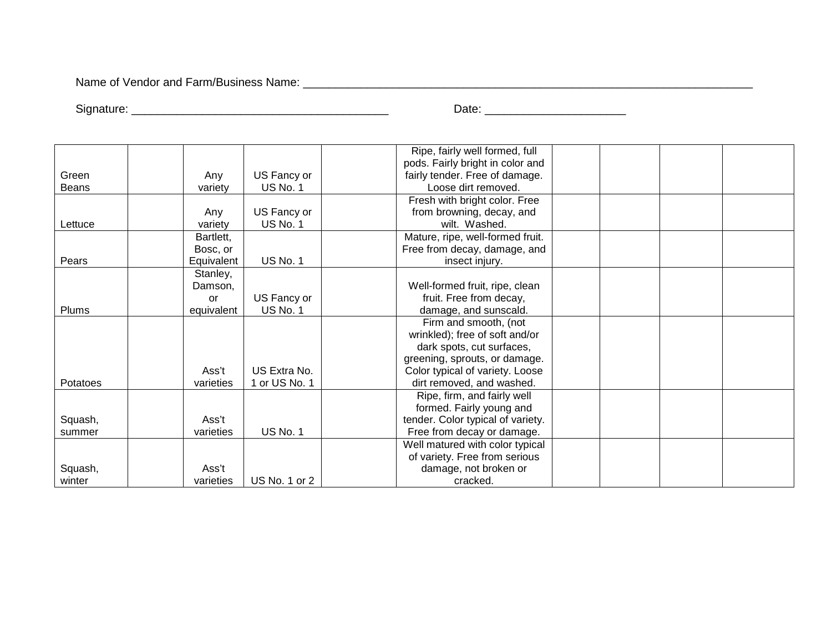Name of Vendor and Farm/Business Name: \_\_\_\_\_\_\_\_\_\_\_\_\_\_\_\_\_\_\_\_\_\_\_\_\_\_\_\_\_\_\_\_\_\_\_\_\_\_\_\_\_\_\_\_\_\_\_\_\_\_\_\_\_\_\_\_\_\_\_\_\_\_\_\_\_\_\_\_\_\_

Signature: \_\_\_\_\_\_\_\_\_\_\_\_\_\_\_\_\_\_\_\_\_\_\_\_\_\_\_\_\_\_\_\_\_\_\_\_\_\_\_\_ Date: \_\_\_\_\_\_\_\_\_\_\_\_\_\_\_\_\_\_\_\_\_\_

|              |            |                 | Ripe, fairly well formed, full    |  |  |
|--------------|------------|-----------------|-----------------------------------|--|--|
|              |            |                 | pods. Fairly bright in color and  |  |  |
| Green        | Any        | US Fancy or     | fairly tender. Free of damage.    |  |  |
| <b>Beans</b> | variety    | <b>US No. 1</b> | Loose dirt removed.               |  |  |
|              |            |                 | Fresh with bright color. Free     |  |  |
|              | Any        | US Fancy or     | from browning, decay, and         |  |  |
| Lettuce      | variety    | <b>US No. 1</b> | wilt. Washed.                     |  |  |
|              | Bartlett,  |                 | Mature, ripe, well-formed fruit.  |  |  |
|              | Bosc, or   |                 | Free from decay, damage, and      |  |  |
| Pears        | Equivalent | <b>US No. 1</b> | insect injury.                    |  |  |
|              | Stanley,   |                 |                                   |  |  |
|              | Damson,    |                 | Well-formed fruit, ripe, clean    |  |  |
|              | <b>or</b>  | US Fancy or     | fruit. Free from decay,           |  |  |
| Plums        | equivalent | US No. 1        | damage, and sunscald.             |  |  |
|              |            |                 | Firm and smooth, (not             |  |  |
|              |            |                 | wrinkled); free of soft and/or    |  |  |
|              |            |                 | dark spots, cut surfaces,         |  |  |
|              |            |                 | greening, sprouts, or damage.     |  |  |
|              | Ass't      | US Extra No.    | Color typical of variety. Loose   |  |  |
| Potatoes     | varieties  | 1 or US No. 1   | dirt removed, and washed.         |  |  |
|              |            |                 | Ripe, firm, and fairly well       |  |  |
|              |            |                 | formed. Fairly young and          |  |  |
| Squash,      | Ass't      |                 | tender. Color typical of variety. |  |  |
| summer       | varieties  | <b>US No. 1</b> | Free from decay or damage.        |  |  |
|              |            |                 | Well matured with color typical   |  |  |
|              |            |                 | of variety. Free from serious     |  |  |
| Squash,      | Ass't      |                 | damage, not broken or             |  |  |
| winter       | varieties  | US No. 1 or 2   | cracked.                          |  |  |